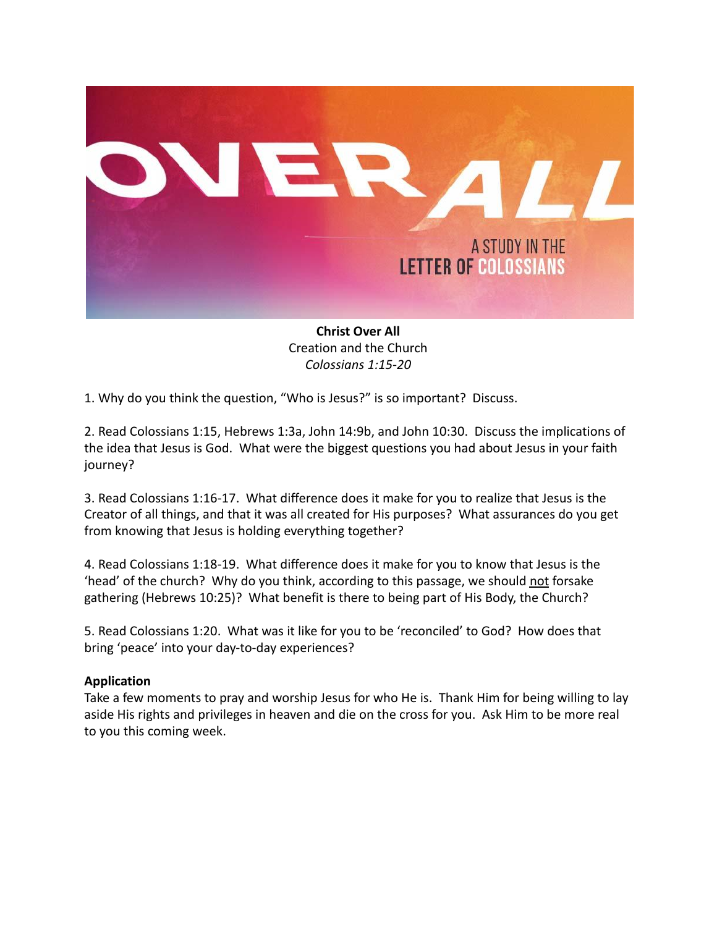

**Christ Over All** Creation and the Church *Colossians 1:15-20*

1. Why do you think the question, "Who is Jesus?" is so important? Discuss.

2. Read Colossians 1:15, Hebrews 1:3a, John 14:9b, and John 10:30. Discuss the implications of the idea that Jesus is God. What were the biggest questions you had about Jesus in your faith journey?

3. Read Colossians 1:16-17. What difference does it make for you to realize that Jesus is the Creator of all things, and that it was all created for His purposes? What assurances do you get from knowing that Jesus is holding everything together?

4. Read Colossians 1:18-19. What difference does it make for you to know that Jesus is the 'head' of the church? Why do you think, according to this passage, we should not forsake gathering (Hebrews 10:25)? What benefit is there to being part of His Body, the Church?

5. Read Colossians 1:20. What was it like for you to be 'reconciled' to God? How does that bring 'peace' into your day-to-day experiences?

#### **Application**

Take a few moments to pray and worship Jesus for who He is. Thank Him for being willing to lay aside His rights and privileges in heaven and die on the cross for you. Ask Him to be more real to you this coming week.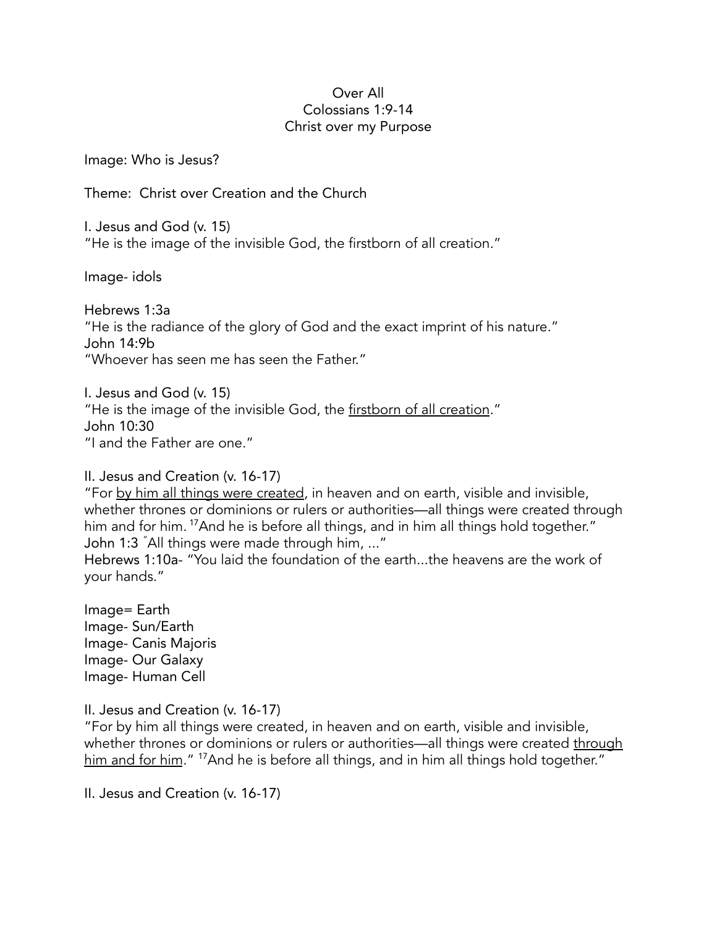#### Over All Colossians 1:9-14 Christ over my Purpose

Image: Who is Jesus?

Theme: Christ over Creation and the Church

I. Jesus and God (v. 15) "He is the image of the invisible God, the firstborn of all creation."

Image- idols

Hebrews 1:3a "He is the radiance of the glory of God and the exact imprint of his nature." John 14:9b "Whoever has seen me has seen the Father."

I. Jesus and God (v. 15) "He is the image of the invisible God, the firstborn of all creation." John 10:30 "I and the Father are one."

## II. Jesus and Creation (v. 16-17)

"For by him all things were created, in heaven and on earth, visible and invisible, whether thrones or dominions or rulers or authorities—all things were created through him and for him. <sup>17</sup>And he is before all things, and in him all things hold together." John 1:3 "All things were made through him, ..."

Hebrews 1:10a- "You laid the foundation of the earth...the heavens are the work of your hands."

Image= Earth Image- Sun/Earth Image- Canis Majoris Image- Our Galaxy Image- Human Cell

II. Jesus and Creation (v. 16-17)

"For by him all things were created, in heaven and on earth, visible and invisible, whether thrones or dominions or rulers or authorities—all things were created through him and for him." <sup>17</sup>And he is before all things, and in him all things hold together."

II. Jesus and Creation (v. 16-17)